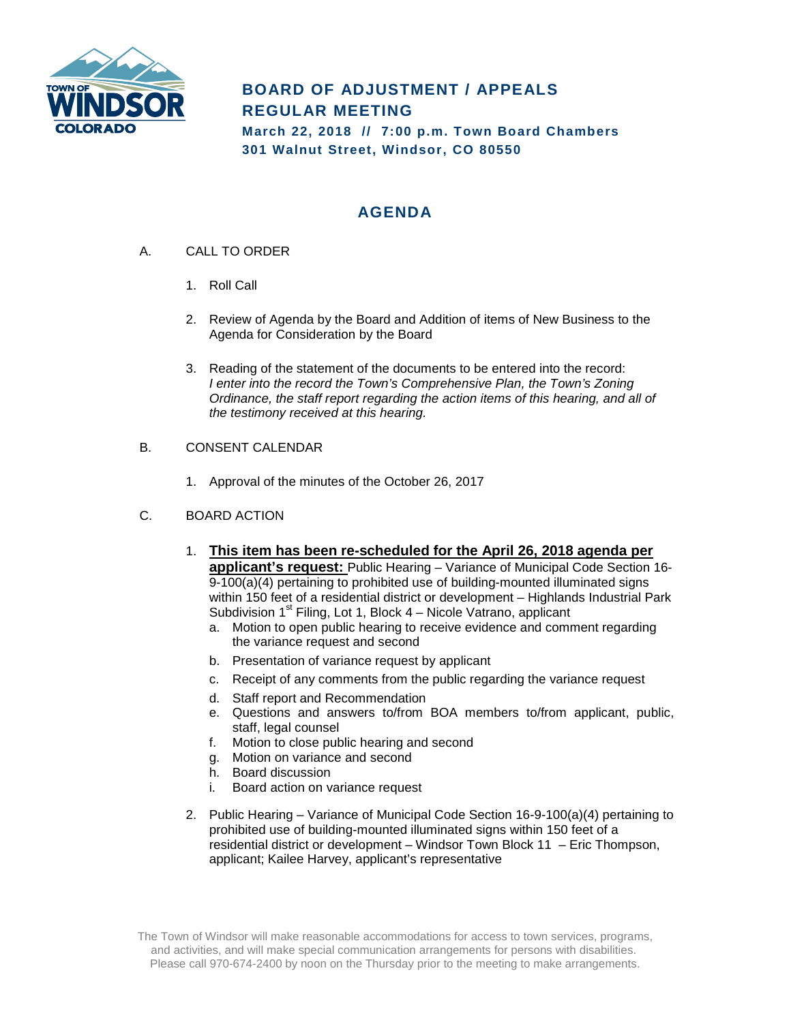

# **BOARD OF ADJUSTMENT / APPEALS REGULAR MEETING**

**March 22, 2018 // 7:00 p.m. Town Board Chambers 301 Walnut Street, Windsor, CO 80550**

# **AGENDA**

- A. CALL TO ORDER
	- 1. Roll Call
	- 2. Review of Agenda by the Board and Addition of items of New Business to the Agenda for Consideration by the Board
	- 3. Reading of the statement of the documents to be entered into the record: *I enter into the record the Town's Comprehensive Plan, the Town's Zoning Ordinance, the staff report regarding the action items of this hearing, and all of the testimony received at this hearing.*

## B. CONSENT CALENDAR

1. Approval of the minutes of the October 26, 2017

#### C. BOARD ACTION

- 1. **This item has been re-scheduled for the April 26, 2018 agenda per applicant's request:** Public Hearing – Variance of Municipal Code Section 16- 9-100(a)(4) pertaining to prohibited use of building-mounted illuminated signs within 150 feet of a residential district or development – Highlands Industrial Park Subdivision  $1<sup>st</sup>$  Filing, Lot 1, Block  $4$  – Nicole Vatrano, applicant
	- a. Motion to open public hearing to receive evidence and comment regarding the variance request and second
	- b. Presentation of variance request by applicant
	- c. Receipt of any comments from the public regarding the variance request
	- d. Staff report and Recommendation
	- e. Questions and answers to/from BOA members to/from applicant, public, staff, legal counsel
	- f. Motion to close public hearing and second
	- g. Motion on variance and second
	- h. Board discussion
	- i. Board action on variance request
- 2. Public Hearing Variance of Municipal Code Section 16-9-100(a)(4) pertaining to prohibited use of building-mounted illuminated signs within 150 feet of a residential district or development – Windsor Town Block 11 – Eric Thompson, applicant; Kailee Harvey, applicant's representative

The Town of Windsor will make reasonable accommodations for access to town services, programs, and activities, and will make special communication arrangements for persons with disabilities. Please call 970-674-2400 by noon on the Thursday prior to the meeting to make arrangements.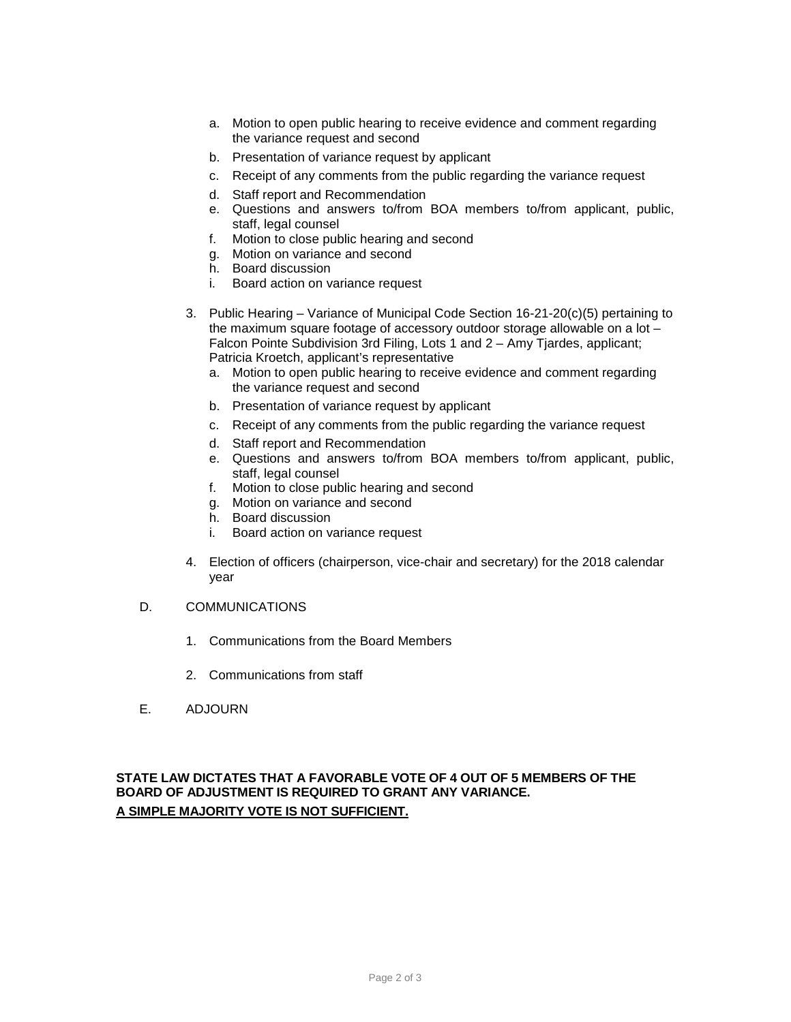- a. Motion to open public hearing to receive evidence and comment regarding the variance request and second
- b. Presentation of variance request by applicant
- c. Receipt of any comments from the public regarding the variance request
- d. Staff report and Recommendation
- e. Questions and answers to/from BOA members to/from applicant, public, staff, legal counsel
- f. Motion to close public hearing and second
- g. Motion on variance and second
- h. Board discussion
- i. Board action on variance request
- 3. Public Hearing Variance of Municipal Code Section 16-21-20(c)(5) pertaining to the maximum square footage of accessory outdoor storage allowable on a lot – Falcon Pointe Subdivision 3rd Filing, Lots 1 and 2 – Amy Tjardes, applicant; Patricia Kroetch, applicant's representative
	- a. Motion to open public hearing to receive evidence and comment regarding the variance request and second
	- b. Presentation of variance request by applicant
	- c. Receipt of any comments from the public regarding the variance request
	- d. Staff report and Recommendation
	- e. Questions and answers to/from BOA members to/from applicant, public, staff, legal counsel
	- f. Motion to close public hearing and second
	- g. Motion on variance and second
	- h. Board discussion
	- i. Board action on variance request
- 4. Election of officers (chairperson, vice-chair and secretary) for the 2018 calendar year
- D. COMMUNICATIONS
	- 1. Communications from the Board Members
	- 2. Communications from staff
- E. ADJOURN

## **STATE LAW DICTATES THAT A FAVORABLE VOTE OF 4 OUT OF 5 MEMBERS OF THE BOARD OF ADJUSTMENT IS REQUIRED TO GRANT ANY VARIANCE. A SIMPLE MAJORITY VOTE IS NOT SUFFICIENT.**